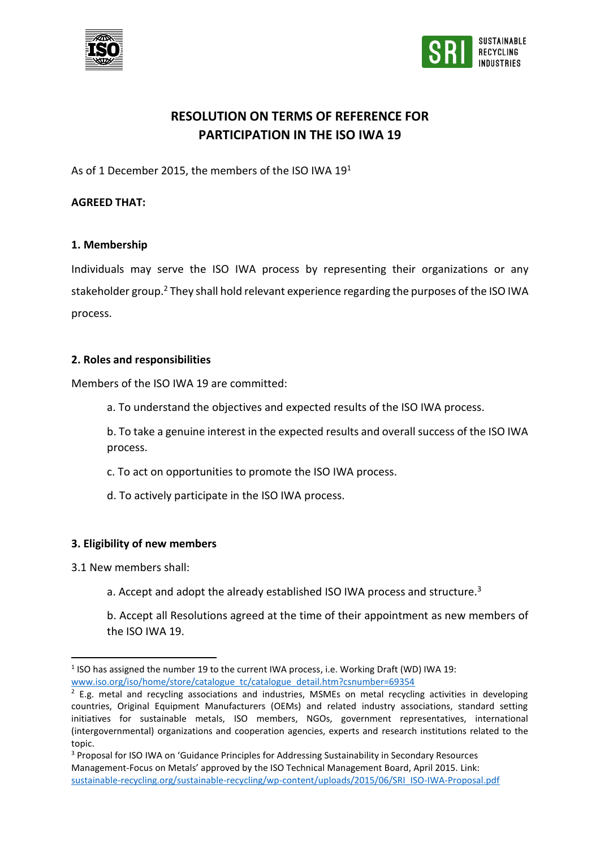



# **RESOLUTION ON TERMS OF REFERENCE FOR PARTICIPATION IN THE ISO IWA 19**

As of 1 December 2015, the members of the ISO IWA 19<sup>1</sup>

### **AGREED THAT:**

#### **1. Membership**

Individuals may serve the ISO IWA process by representing their organizations or any stakeholder group. <sup>2</sup> They shall hold relevant experience regarding the purposes of the ISO IWA process.

#### **2. Roles and responsibilities**

Members of the ISO IWA 19 are committed:

a. To understand the objectives and expected results of the ISO IWA process.

b. To take a genuine interest in the expected results and overall success of the ISO IWA process.

c. To act on opportunities to promote the ISO IWA process.

d. To actively participate in the ISO IWA process.

### **3. Eligibility of new members**

3.1 New members shall:

**.** 

a. Accept and adopt the already established ISO IWA process and structure.<sup>3</sup>

b. Accept all Resolutions agreed at the time of their appointment as new members of the ISO IWA 19.

 $<sup>1</sup>$  ISO has assigned the number 19 to the current IWA process, i.e. Working Draft (WD) IWA 19:</sup> [www.iso.org/iso/home/store/catalogue\\_tc/catalogue\\_detail.htm?csnumber=69354](http://www.iso.org/iso/home/store/catalogue_tc/catalogue_detail.htm?csnumber=69354)

 $2$  E.g. metal and recycling associations and industries, MSMEs on metal recycling activities in developing countries, Original Equipment Manufacturers (OEMs) and related industry associations, standard setting initiatives for sustainable metals, ISO members, NGOs, government representatives, international (intergovernmental) organizations and cooperation agencies, experts and research institutions related to the topic.

<sup>&</sup>lt;sup>3</sup> Proposal for ISO IWA on 'Guidance Principles for Addressing Sustainability in Secondary Resources Management-Focus on Metals' approved by the ISO Technical Management Board, April 2015. Link: [sustainable-recycling.org/sustainable-recycling/wp-content/uploads/2015/06/SRI\\_ISO-IWA-Proposal.pdf](file:///C:/Users/Sonia/Box%20Sync/SECO-SRI/C-Roundtable/12.IWA/IWA_WS1/Minutes/FollowUp/sustainable-recycling.org/sustainable-recycling/wp-content/uploads/2015/06/SRI_ISO-IWA-Proposal.pdf)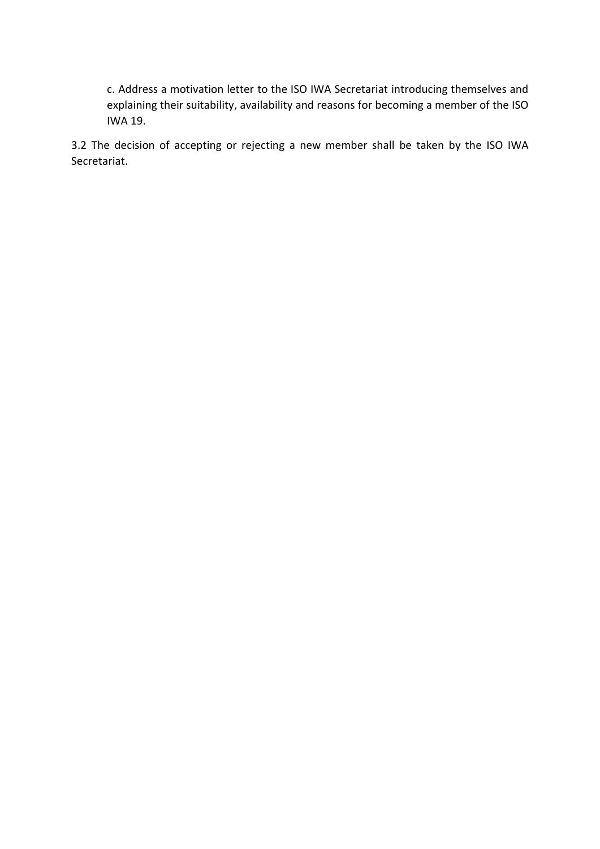c. Address a motivation letter to the ISO IWA Secretariat introducing themselves and explaining their suitability, availability and reasons for becoming a member of the ISO IWA 19.

3.2 The decision of accepting or rejecting a new member shall be taken by the ISO IWA Secretariat.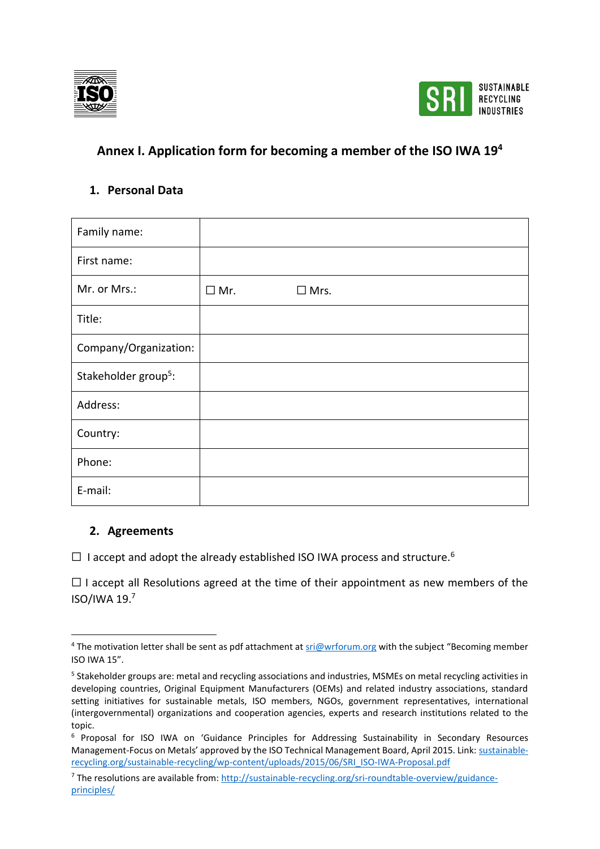



# **Annex I. Application form for becoming a member of the ISO IWA 19<sup>4</sup>**

### **1. Personal Data**

| Family name:                     |            |                |
|----------------------------------|------------|----------------|
| First name:                      |            |                |
| Mr. or Mrs.:                     | $\Box$ Mr. | $\square$ Mrs. |
| Title:                           |            |                |
| Company/Organization:            |            |                |
| Stakeholder group <sup>5</sup> : |            |                |
| Address:                         |            |                |
| Country:                         |            |                |
| Phone:                           |            |                |
| E-mail:                          |            |                |

## **2. Agreements**

 $\overline{\phantom{a}}$ 

□ I accept and adopt the already established ISO IWA process and structure.<sup>6</sup>

 $\Box$  I accept all Resolutions agreed at the time of their appointment as new members of the ISO/IWA 19.<sup>7</sup>

<sup>&</sup>lt;sup>4</sup> The motivation letter shall be sent as pdf attachment a[t sri@wrforum.org](mailto:sri@wrforum.org) with the subject "Becoming member ISO IWA 15".

<sup>&</sup>lt;sup>5</sup> Stakeholder groups are: metal and recycling associations and industries, MSMEs on metal recycling activities in developing countries, Original Equipment Manufacturers (OEMs) and related industry associations, standard setting initiatives for sustainable metals, ISO members, NGOs, government representatives, international (intergovernmental) organizations and cooperation agencies, experts and research institutions related to the topic.

<sup>6</sup> Proposal for ISO IWA on 'Guidance Principles for Addressing Sustainability in Secondary Resources Management-Focus on Metals' approved by the ISO Technical Management Board, April 2015. Link: [sustainable](file:///C:/Users/Sonia/Box%20Sync/SECO-SRI/C-Roundtable/12.IWA/IWA_WS1/Minutes/FollowUp/sustainable-recycling.org/sustainable-recycling/wp-content/uploads/2015/06/SRI_ISO-IWA-Proposal.pdf)[recycling.org/sustainable-recycling/wp-content/uploads/2015/06/SRI\\_ISO-IWA-Proposal.pdf](file:///C:/Users/Sonia/Box%20Sync/SECO-SRI/C-Roundtable/12.IWA/IWA_WS1/Minutes/FollowUp/sustainable-recycling.org/sustainable-recycling/wp-content/uploads/2015/06/SRI_ISO-IWA-Proposal.pdf)

<sup>7</sup> The resolutions are available from: [http://sustainable-recycling.org/sri-roundtable-overview/guidance](http://sustainable-recycling.org/sri-roundtable-overview/guidance-principles/)[principles/](http://sustainable-recycling.org/sri-roundtable-overview/guidance-principles/)